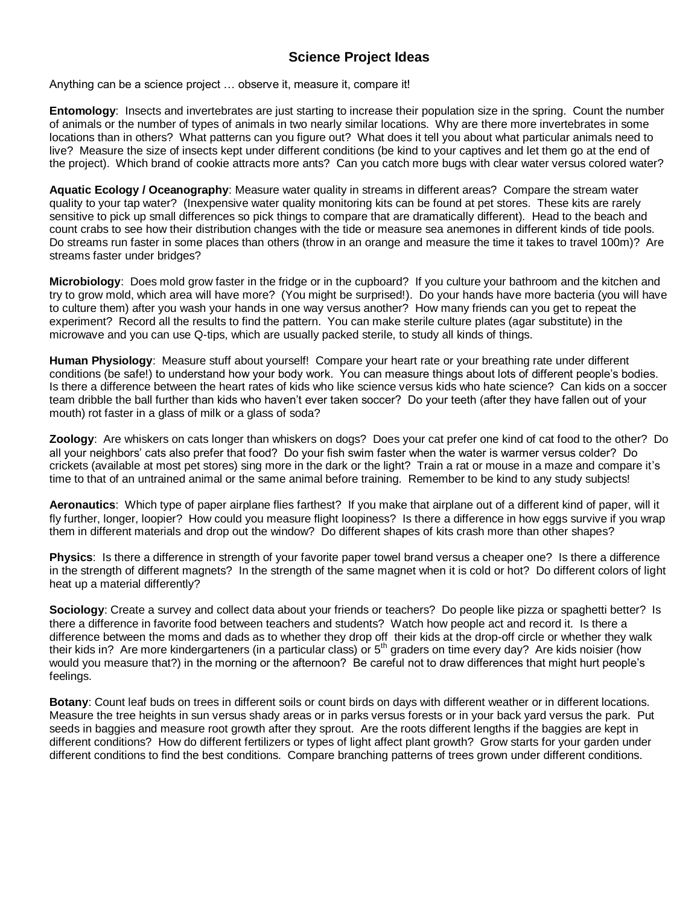## **Science Project Ideas**

Anything can be a science project … observe it, measure it, compare it!

**Entomology**: Insects and invertebrates are just starting to increase their population size in the spring. Count the number of animals or the number of types of animals in two nearly similar locations. Why are there more invertebrates in some locations than in others? What patterns can you figure out? What does it tell you about what particular animals need to live? Measure the size of insects kept under different conditions (be kind to your captives and let them go at the end of the project). Which brand of cookie attracts more ants? Can you catch more bugs with clear water versus colored water?

**Aquatic Ecology / Oceanography**: Measure water quality in streams in different areas? Compare the stream water quality to your tap water? (Inexpensive water quality monitoring kits can be found at pet stores. These kits are rarely sensitive to pick up small differences so pick things to compare that are dramatically different). Head to the beach and count crabs to see how their distribution changes with the tide or measure sea anemones in different kinds of tide pools. Do streams run faster in some places than others (throw in an orange and measure the time it takes to travel 100m)? Are streams faster under bridges?

**Microbiology**: Does mold grow faster in the fridge or in the cupboard? If you culture your bathroom and the kitchen and try to grow mold, which area will have more? (You might be surprised!). Do your hands have more bacteria (you will have to culture them) after you wash your hands in one way versus another? How many friends can you get to repeat the experiment? Record all the results to find the pattern. You can make sterile culture plates (agar substitute) in the microwave and you can use Q-tips, which are usually packed sterile, to study all kinds of things.

**Human Physiology**: Measure stuff about yourself! Compare your heart rate or your breathing rate under different conditions (be safe!) to understand how your body work. You can measure things about lots of different people's bodies. Is there a difference between the heart rates of kids who like science versus kids who hate science? Can kids on a soccer team dribble the ball further than kids who haven't ever taken soccer? Do your teeth (after they have fallen out of your mouth) rot faster in a glass of milk or a glass of soda?

**Zoology**: Are whiskers on cats longer than whiskers on dogs? Does your cat prefer one kind of cat food to the other? Do all your neighbors' cats also prefer that food? Do your fish swim faster when the water is warmer versus colder? Do crickets (available at most pet stores) sing more in the dark or the light? Train a rat or mouse in a maze and compare it's time to that of an untrained animal or the same animal before training. Remember to be kind to any study subjects!

**Aeronautics**: Which type of paper airplane flies farthest? If you make that airplane out of a different kind of paper, will it fly further, longer, loopier? How could you measure flight loopiness? Is there a difference in how eggs survive if you wrap them in different materials and drop out the window? Do different shapes of kits crash more than other shapes?

**Physics**: Is there a difference in strength of your favorite paper towel brand versus a cheaper one? Is there a difference in the strength of different magnets? In the strength of the same magnet when it is cold or hot? Do different colors of light heat up a material differently?

**Sociology**: Create a survey and collect data about your friends or teachers? Do people like pizza or spaghetti better? Is there a difference in favorite food between teachers and students? Watch how people act and record it. Is there a difference between the moms and dads as to whether they drop off their kids at the drop-off circle or whether they walk their kids in? Are more kindergarteners (in a particular class) or  $5<sup>th</sup>$  graders on time every day? Are kids noisier (how would you measure that?) in the morning or the afternoon? Be careful not to draw differences that might hurt people's feelings.

**Botany**: Count leaf buds on trees in different soils or count birds on days with different weather or in different locations. Measure the tree heights in sun versus shady areas or in parks versus forests or in your back yard versus the park. Put seeds in baggies and measure root growth after they sprout. Are the roots different lengths if the baggies are kept in different conditions? How do different fertilizers or types of light affect plant growth? Grow starts for your garden under different conditions to find the best conditions. Compare branching patterns of trees grown under different conditions.